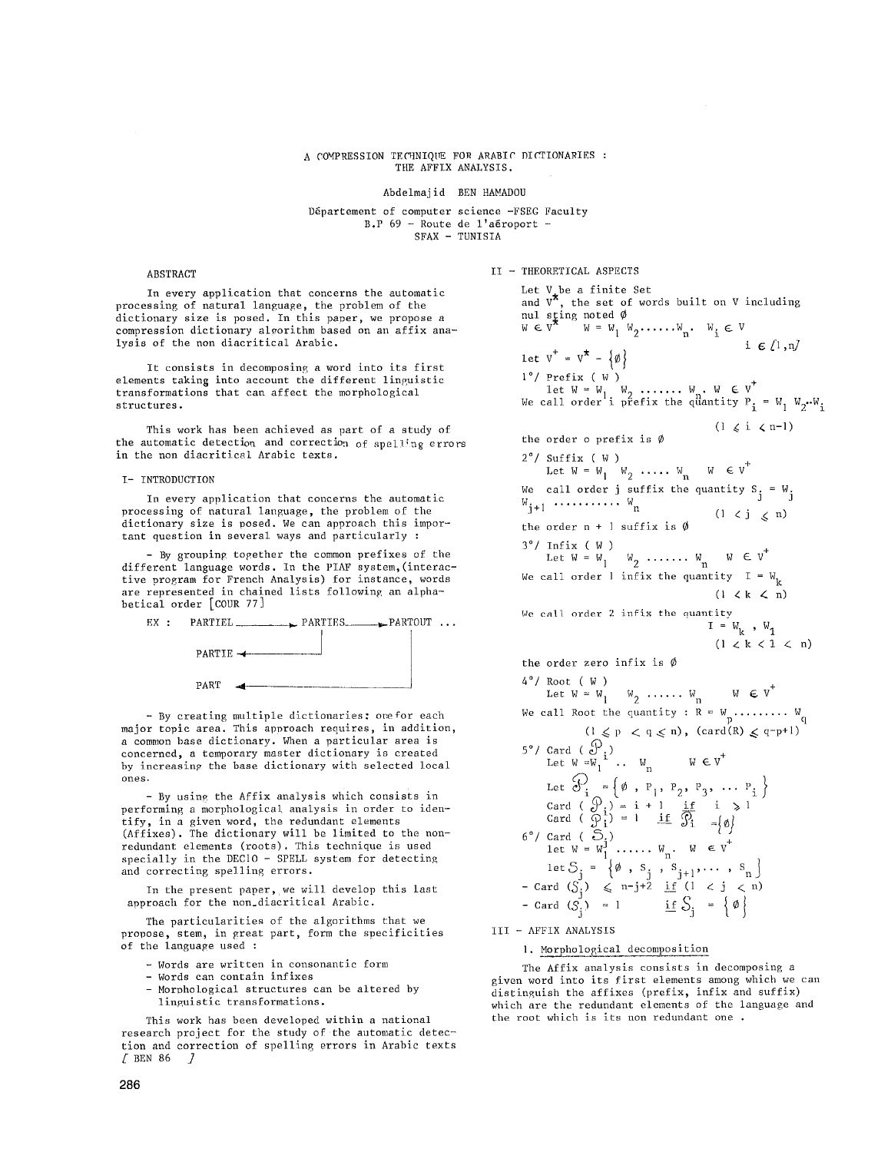# A COMPRESSION TECHNIQUE FOR ARABIC DICTIONARIES : THE AFFIX ANALYSIS.

Abdelmajid BEN HAMADOU

Département of computer science -FSEG Faculty  $B.P.69 - Route de 1'aéroport -$ SFAX - TUNISIA

## ABSTRACT

In every application that concerns the automatic processing of natural language, the problem of the dictionary size is posed. In this paper, we propose a compression dictionary algorithm based on an affix analysis of the non diacritical Arabic.

It consists in decomposing a word into its first elements taking into account the different linguistic transformations that can affect the morphological structures.

This work has been achieved as part of a study of the automatic detection and correction of spelling errors in the non diacritical Arabic texts.

#### I- INTRODUCTION

In every application that concerns the automatic processing of natural language, the problem of the dictionary size is posed. We can approach this important question in several ways and particularly :

- By grouping together the common prefixes of the different language words. In the PIAF system,(interactive program for French Analysis) for instance, words are represented in chained lists following an alphabetical order [COUR 77]



- By creating multiple dictionaries: orefor each major topic area. This approach requires, in addition, a common base dictionary. When a particular area is concerned, a temporary master dictionary is created by increasing the base dictionary with selected local ones.

- By using the Affix analysis which consists in performing a morphological analysis in order to identify, in a given word, the redundant elements (Affixes). The dictionary will be limited to the nonredundant elements (roots). This technique is used specially in the DECIO - SPELL system for detecting and correcting spelling errors.

In the present paper, we will develop this last approach for the non\_diacritical Arabic.

The particularities of the algorithms that we propose, stem, in great part, form the specificities of the language used :

- Words are written in consonantic form
- Words can contain infixes
- Morphological structures can be altered by linguistic transformations.

This work has been developed within a national research project for the study of the automatic detection and correction of spelling errors in Arabic texts  $\sqrt{2}$  BEN 86  $\sqrt{2}$ 

II **-** THEORETICAL ASPECTS

Let V be a finite Set and V", the set of words built on V including nul s<u>t</u>ıng noted  $w \in V \qquad w = w_1 \ w_2 \ldots \ldots w_n \qquad w_i \in V$ i  $\epsilon$  (1, n) let  $V^+ = V^* - \{\emptyset\}$ i°/ Prefix ( W ) Let  $W = W_1$ ,  $W_2$  .......  $W_1 \cdot W_2 \cdot W_3$ <br>We call order i prefix the quantity  $P_1 = W_1 W_2 \cdot W_3$ .  $(1 \leq i \leq n-1)$ the order o prefix is  $\emptyset$ 2°/ Suffix ( W )<br>Let  $W = W_1 \quad W_2 \quad \cdots W_n \quad W \in V^+$ We call order j suffix the quantity S $_{z}$  = W $_{z}$  $W_{\frac{1}{2}+1}$  ...............  $W_n$  $(1 \lt j \lt n)$ the order  $n + 1$  suffix is  $\emptyset$  $3^{\circ}$ / Infix ( W )<br>Let W = W<sub>1</sub> W<sub>2</sub> ....... W<sub>n</sub> W E V<sup>+</sup> We call order 1 infix the quantity  $I = W_{k}$  $(1 \lt k \lt n)$ We call order 2 infix the quantity  $I = W_k$ ,  $W_1$  $(1 \lt k \lt 1 \lt n)$ the order zero infix is  $\emptyset$ 4°/ Root ( W ) Let  $W = W_1 \cup W_2 \cup \cdots \cup W_n \cup W \in V$ We call Root the quantity :  $R = W_p \dots \dots \dots W_q$  $(1 \leqslant p \leqslant q \leqslant n)$ ,  $(\text{card}(R) \leqslant q-p+1)$ 5°/ Card (  $\sigma$  ) Let  $W = W_1 \ldots W_n$   $W \in V$ Let  $\mathcal{O}_{\mathcal{I}} = {\emptyset, \, P_1, \, P_2, \, P_3, \, \ldots \, P_n}$ Card (  $\mathcal{Y}_i$  ) = i + l if 1  $\gg 1$ Card (  $\varphi$  ; ) = 1 if  $\varphi$  is  $\varphi$  if  $\varphi$ 6°/ Card (~.) Let  $W = W_1 \cdot \ldots \cdot W_n$ . We V let  $\bigcirc_i = {\emptyset}$ ,  $S_i$ ,  $S_{i+1}$ , ...,  $S_n$  $-$  Card (5,)  $\leq$  n-j+2 if (1  $\lt$  j  $\lt$  n)  $-$  Card  $(S_i) = 1$  if  $S_i = {\emptyset}$ III- AFFIX ANALYSIS

]. Morphological decomposition

The Affix analysis consists in decomposing a given word into its first elements among which we can distinguish the affixes (prefix, infix and suffix) which are the redundant elements of the language and the root which is its non redundant one .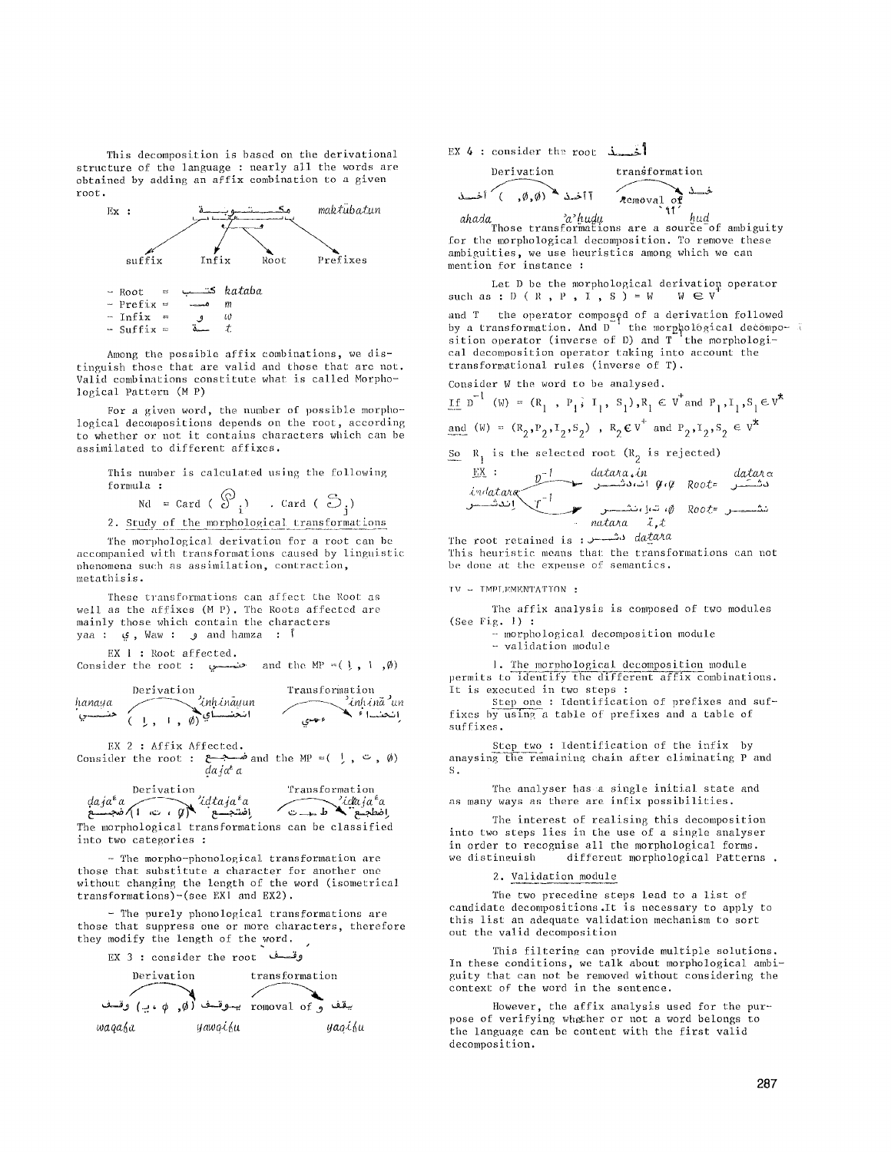This decomposition is based on the derivational structure of the language : nearly all the words are obtained by adding an affix combination to a given root.



Among the possible affix combinations, we distinguish those that are valid and those that are not. Valid combinations constitute what is called Morpho- ]ogical Pattern (M P)

For a given word, the number of possible morphological decompositions depends on the root, according to whether or not it contains characters which can be assimilated to different affixes.

This number is calculated using the following formula :

 $N$ d = Card ( c)  $\left(\begin{array}{ccc} 0 & . & . & . \end{array}\right)$ 

2. Study of the morphological transformations

The morphological derivation for a root can be accompanied with transformations caused by linguistic ohenomena such as asshnilation, contraction, metathisis.

These transformations can affect the Root as well as the affixes (M P). The Roots affected are mainly those which contain the characters yaa : و ; Waw : و , Waw i

EX 1 : Root affected.

Consider the root : . حنصسوا and the MP =( ), l  $,\emptyset)$ 



EX 2 : Affix Affected.

Consider the root : صـبـع and the MP =( ), ت ,  $\emptyset$ )

|                                                                 | Derivation | Transformation                             |  |
|-----------------------------------------------------------------|------------|--------------------------------------------|--|
| daja <sup>r</sup> a<br>اِنفسجسم (الله الله عليه الله عليه عليه) |            | idaja <sup>e</sup> a<br>المطجع في المسلمات |  |

المطلعة المستقبل المستقبل المستقبل المستقبل المستقبل المستقبل المستقبل المستقبل المستقبل المستقبل ال<br>The morphological transformations can be classified into two categories :

**-** The morpho-phonological transformation are those that substitute a character for another one without changing the length of the word (isometrica] transformations)-(see EX1 and EX2).

- The purely phonological transformations are those that suppress one or more characters, therefore they modify the length of the word.



EX 4 : consider the root  $\frac{1}{2}$ 

Derivation  
transformation  

$$
\begin{array}{c}\n\text{transition} \\
\downarrow \\
\uparrow \\
\uparrow\n\end{array}
$$

ahada<sub>Those</sub> *a*<sup>2</sup>hudu</sup> *ind hud*<br>Those transformations are a source of ambiguity for the morphological decomposition. To remove these ambiguities, we use heuristics among which we can mention for instance :

Let D be the morphological derivation operator<br> $B : D (R, P, I, S) = W \cup W \in V$ such as :  $D$  (  $R$  ,  $P$  ,  $I$  ,  $S$  ) = W

and T the operator composed of a derivation followed by a transformation. And D  $\degree$  the morphological decomposition operator (inverse of D) and  $T^{-1}$  the morphological decomposition operator taking into account the transformational rules (inverse of T).

Consider W the word to be analysed.

$$
\underline{\text{if } p^{-1} \text{ (W)} = (R_1, P_1, I_1, S_1), R_1 \in V^{\dagger} \text{ and } P_1, I_1, S_1 \in V^{\dagger}
$$

and (W) = 
$$
(R_2, P_2, I_2, S_2)
$$
,  $R_2 \in V$  and  $P_2, I_2, S_2 \in V$ 

So 
$$
R_1
$$
 is the selected root  $(R_2$  is rejected)  

$$
\underline{EX} : \qquad \underline{p^{-1}} \qquad \underline{data \cdot \dot{m}} \qquad \underline{data \cdot \dot{m}} \qquad \underline{data \cdot \dot{m}}
$$

$$
indatawa
$$
\n
$$
r^{-1}
$$
\n
$$
r^{-1}
$$
\n
$$
matana
$$
\n
$$
r^{-1}
$$
\n
$$
matana
$$
\n
$$
i, t
$$

The root retained is : J----~'~ *da.£aAa* 

This heuristic means that the transformations can not be done at the expense of semantics.

## TV - TMPLEMENTATION :

The affix analysis is composed of two modules (See Fig. I) :

- morphological decomposition module

**-** validation modu]e

1. The morphological decomposition module permits to identify the different affix combinations. It is executed in two steps :

Step one : Identification of prefixes and suffixes by using a table of prefixes and a table of suffixes.

Step two : identification of the infix by anaysing the remaining chain after eliminating P and S.

The analyser has a single initial state and as many ways as there are infix possibilities.

The interest of realising this decomposition into two steps lies in the use of a single analyser in order to recognise all the morphological forms. we distinguish different morphological Patterns.

## 2. Validation module

The two preceding steps lead to a list of candidate decompositions. It is necessary to apply to this list an adequate validation mechanism to sort out the valid decomposition

This filtering can provide multiple solutions. In these conditions, we talk about morphological ambiguity that can not be removed without considering the context: of the word in the sentence.

However, the affix analysis used for the purpose of verifying whether or not a word belongs to the language can be content with the first valid decomposition.